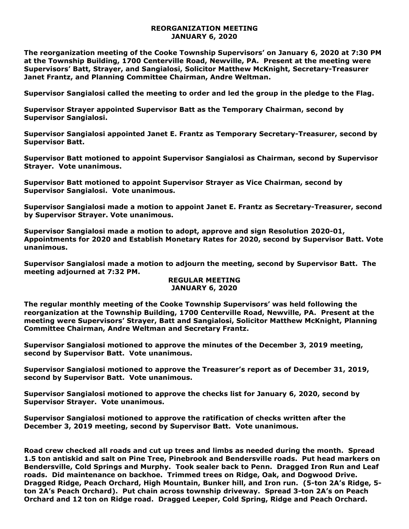## **REORGANIZATION MEETING JANUARY 6, 2020**

**The reorganization meeting of the Cooke Township Supervisors' on January 6, 2020 at 7:30 PM at the Township Building, 1700 Centerville Road, Newville, PA. Present at the meeting were Supervisors' Batt, Strayer, and Sangialosi, Solicitor Matthew McKnight, Secretary-Treasurer Janet Frantz, and Planning Committee Chairman, Andre Weltman.** 

**Supervisor Sangialosi called the meeting to order and led the group in the pledge to the Flag.** 

**Supervisor Strayer appointed Supervisor Batt as the Temporary Chairman, second by Supervisor Sangialosi.**

**Supervisor Sangialosi appointed Janet E. Frantz as Temporary Secretary-Treasurer, second by Supervisor Batt.** 

**Supervisor Batt motioned to appoint Supervisor Sangialosi as Chairman, second by Supervisor Strayer. Vote unanimous.**

**Supervisor Batt motioned to appoint Supervisor Strayer as Vice Chairman, second by Supervisor Sangialosi. Vote unanimous.**

**Supervisor Sangialosi made a motion to appoint Janet E. Frantz as Secretary-Treasurer, second by Supervisor Strayer. Vote unanimous.**

**Supervisor Sangialosi made a motion to adopt, approve and sign Resolution 2020-01, Appointments for 2020 and Establish Monetary Rates for 2020, second by Supervisor Batt. Vote unanimous.**

**Supervisor Sangialosi made a motion to adjourn the meeting, second by Supervisor Batt. The meeting adjourned at 7:32 PM.** 

## **REGULAR MEETING JANUARY 6, 2020**

**The regular monthly meeting of the Cooke Township Supervisors' was held following the reorganization at the Township Building, 1700 Centerville Road, Newville, PA. Present at the meeting were Supervisors' Strayer, Batt and Sangialosi, Solicitor Matthew McKnight, Planning Committee Chairman, Andre Weltman and Secretary Frantz.**

**Supervisor Sangialosi motioned to approve the minutes of the December 3, 2019 meeting, second by Supervisor Batt. Vote unanimous.** 

**Supervisor Sangialosi motioned to approve the Treasurer's report as of December 31, 2019, second by Supervisor Batt. Vote unanimous.**

**Supervisor Sangialosi motioned to approve the checks list for January 6, 2020, second by Supervisor Strayer. Vote unanimous.**

**Supervisor Sangialosi motioned to approve the ratification of checks written after the December 3, 2019 meeting, second by Supervisor Batt. Vote unanimous.**

**Road crew checked all roads and cut up trees and limbs as needed during the month. Spread 1.5 ton antiskid and salt on Pine Tree, Pinebrook and Bendersville roads. Put head markers on Bendersville, Cold Springs and Murphy. Took sealer back to Penn. Dragged Iron Run and Leaf roads. Did maintenance on backhoe. Trimmed trees on Ridge, Oak, and Dogwood Drive. Dragged Ridge, Peach Orchard, High Mountain, Bunker hill, and Iron run. (5-ton 2A's Ridge, 5 ton 2A's Peach Orchard). Put chain across township driveway. Spread 3-ton 2A's on Peach Orchard and 12 ton on Ridge road. Dragged Leeper, Cold Spring, Ridge and Peach Orchard.**